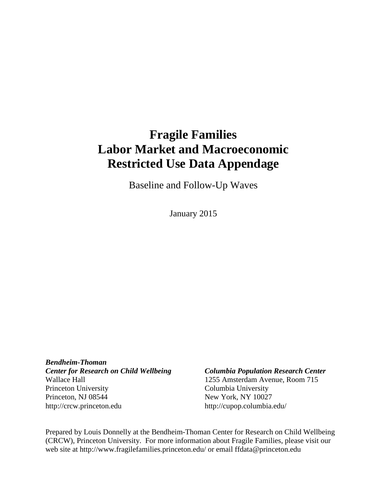# **Fragile Families Labor Market and Macroeconomic Restricted Use Data Appendage**

Baseline and Follow-Up Waves

January 2015

*Bendheim-Thoman Center for Research on Child Wellbeing Columbia Population Research Center* Wallace Hall 1255 Amsterdam Avenue, Room 715 Princeton University Columbia University Princeton, NJ 08544 New York, NY 10027 http://crcw.princeton.edu http://cupop.columbia.edu/

Prepared by Louis Donnelly at the Bendheim-Thoman Center for Research on Child Wellbeing (CRCW), Princeton University. For more information about Fragile Families, please visit our web site at http://www.fragilefamilies.princeton.edu/ or email ffdata@princeton.edu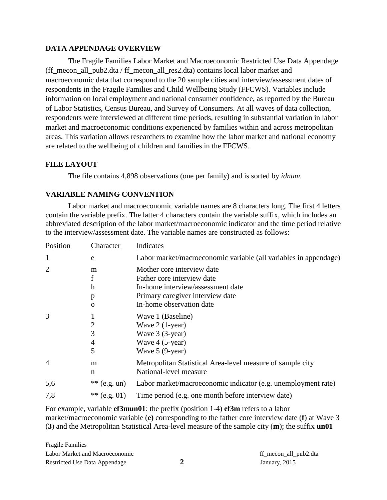## **DATA APPENDAGE OVERVIEW**

The Fragile Families Labor Market and Macroeconomic Restricted Use Data Appendage (ff\_mecon\_all\_pub2.dta / ff\_mecon\_all\_res2.dta) contains local labor market and macroeconomic data that correspond to the 20 sample cities and interview/assessment dates of respondents in the Fragile Families and Child Wellbeing Study (FFCWS). Variables include information on local employment and national consumer confidence, as reported by the Bureau of Labor Statistics, Census Bureau, and Survey of Consumers. At all waves of data collection, respondents were interviewed at different time periods, resulting in substantial variation in labor market and macroeconomic conditions experienced by families within and across metropolitan areas. This variation allows researchers to examine how the labor market and national economy are related to the wellbeing of children and families in the FFCWS.

# **FILE LAYOUT**

The file contains 4,898 observations (one per family) and is sorted by *idnum.*

# <span id="page-1-0"></span>**VARIABLE NAMING CONVENTION**

Labor market and macroeconomic variable names are 8 characters long. The first 4 letters contain the variable prefix. The latter 4 characters contain the variable suffix, which includes an abbreviated description of the labor market/macroeconomic indicator and the time period relative to the interview/assessment date. The variable names are constructed as follows:

| Character        | Indicates                                                                                                                         |
|------------------|-----------------------------------------------------------------------------------------------------------------------------------|
| e                | Labor market/macroeconomic variable (all variables in appendage)                                                                  |
| m<br>f<br>h<br>p | Mother core interview date<br>Father core interview date<br>In-home interview/assessment date<br>Primary caregiver interview date |
| 0                | In-home observation date                                                                                                          |
| 2<br>3<br>4<br>5 | Wave 1 (Baseline)<br>Wave $2(1-year)$<br>Wave 3 (3-year)<br>Wave 4 (5-year)<br>Wave 5 (9-year)                                    |
| m<br>n           | Metropolitan Statistical Area-level measure of sample city<br>National-level measure                                              |
| $**$ (e.g. un)   | Labor market/macroeconomic indicator (e.g. unemployment rate)                                                                     |
| ** (e.g. 01)     | Time period (e.g. one month before interview date)                                                                                |
|                  |                                                                                                                                   |

For example, variable **ef3mun01**: the prefix (position 1-4) **ef3m** refers to a labor market/macroeconomic variable (**e)** corresponding to the father core interview date (**f**) at Wave 3 (**3**) and the Metropolitan Statistical Area-level measure of the sample city (**m**); the suffix **un01**

Fragile Families Labor Market and Macroeconomic ff\_mecon\_all\_pub2.dta Restricted Use Data Appendage **2** January, 2015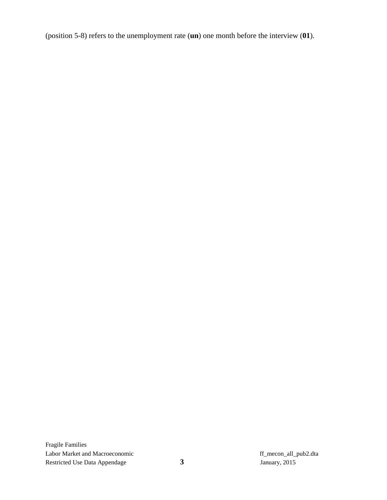(position 5-8) refers to the unemployment rate (**un**) one month before the interview (**01**).

Fragile Families Labor Market and Macroeconomic<br>
Restricted Use Data Appendage **1989**<br> **1989**<br> **1989**<br> **1989**<br> **1989**<br> **1989**<br> **1989**<br> **1989**<br> **1989**<br> **1989**<br> **1989**<br> **1989**<br> **1989**<br> **1989**<br> **1989**<br> **1989**<br> **1989** Restricted Use Data Appendage **3** January, 2015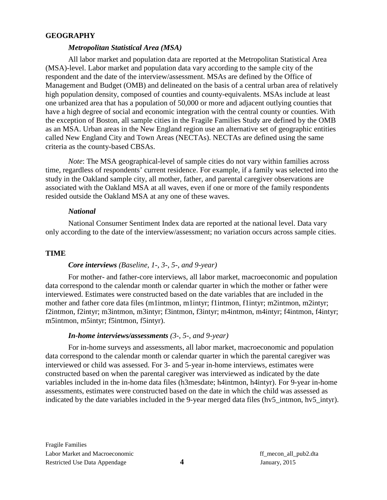#### **GEOGRAPHY**

#### *Metropolitan Statistical Area (MSA)*

All labor market and population data are reported at the Metropolitan Statistical Area (MSA)-level. Labor market and population data vary according to the sample city of the respondent and the date of the interview/assessment. MSAs are defined by the Office of Management and Budget (OMB) and delineated on the basis of a central urban area of relatively high population density, composed of counties and county-equivalents. MSAs include at least one urbanized area that has a population of 50,000 or more and adjacent outlying counties that have a high degree of social and economic integration with the central county or counties. With the exception of Boston, all sample cities in the Fragile Families Study are defined by the OMB as an MSA. Urban areas in the New England region use an alternative set of geographic entities called New England City and Town Areas (NECTAs). NECTAs are defined using the same criteria as the county-based CBSAs.

*Note*: The MSA geographical-level of sample cities do not vary within families across time, regardless of respondents' current residence. For example, if a family was selected into the study in the Oakland sample city, all mother, father, and parental caregiver observations are associated with the Oakland MSA at all waves, even if one or more of the family respondents resided outside the Oakland MSA at any one of these waves.

#### *National*

National Consumer Sentiment Index data are reported at the national level. Data vary only according to the date of the interview/assessment; no variation occurs across sample cities.

#### **TIME**

#### *Core interviews (Baseline, 1-, 3-, 5-, and 9-year)*

For mother- and father-core interviews, all labor market, macroeconomic and population data correspond to the calendar month or calendar quarter in which the mother or father were interviewed. Estimates were constructed based on the date variables that are included in the mother and father core data files (m1intmon, m1intyr; f1intmon, f1intyr; m2intmon, m2intyr; f2intmon, f2intyr; m3intmon, m3intyr; f3intmon, f3intyr; m4intmon, m4intyr; f4intmon, f4intyr; m5intmon, m5intyr; f5intmon, f5intyr).

#### *In-home interviews/assessments (3-, 5-, and 9-year)*

For in-home surveys and assessments, all labor market, macroeconomic and population data correspond to the calendar month or calendar quarter in which the parental caregiver was interviewed or child was assessed. For 3- and 5-year in-home interviews, estimates were constructed based on when the parental caregiver was interviewed as indicated by the date variables included in the in-home data files (h3mesdate; h4intmon, h4intyr). For 9-year in-home assessments, estimates were constructed based on the date in which the child was assessed as indicated by the date variables included in the 9-year merged data files (hv5\_intmon, hv5\_intyr).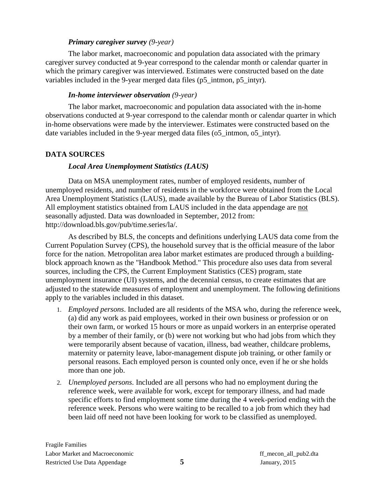## *Primary caregiver survey (9-year)*

The labor market, macroeconomic and population data associated with the primary caregiver survey conducted at 9-year correspond to the calendar month or calendar quarter in which the primary caregiver was interviewed. Estimates were constructed based on the date variables included in the 9-year merged data files (p5\_intmon, p5\_intyr).

#### *In-home interviewer observation (9-year)*

The labor market, macroeconomic and population data associated with the in-home observations conducted at 9-year correspond to the calendar month or calendar quarter in which in-home observations were made by the interviewer. Estimates were constructed based on the date variables included in the 9-year merged data files (o5 intmon, o5 intyr).

# **DATA SOURCES**

# *Local Area Unemployment Statistics (LAUS)*

Data on MSA unemployment rates, number of employed residents, number of unemployed residents, and number of residents in the workforce were obtained from the Local Area Unemployment Statistics (LAUS), made available by the Bureau of Labor Statistics (BLS). All employment statistics obtained from LAUS included in the data appendage are not seasonally adjusted. Data was downloaded in September, 2012 from: [http://download.bls.gov/pub/time.series/la/.](http://download.bls.gov/pub/time.series/la/)

As described by BLS, the concepts and definitions underlying LAUS data come from the Current Population Survey (CPS), the household survey that is the official measure of the labor force for the nation. Metropolitan area labor market estimates are produced through a buildingblock approach known as the "Handbook Method." This procedure also uses data from several sources, including the CPS, the Current Employment Statistics (CES) program, state unemployment insurance (UI) systems, and the decennial census, to create estimates that are adjusted to the statewide measures of employment and unemployment. The following definitions apply to the variables included in this dataset.

- 1. *Employed persons*. Included are all residents of the MSA who, during the reference week, (a) did any work as paid employees, worked in their own business or profession or on their own farm, or worked 15 hours or more as unpaid workers in an enterprise operated by a member of their family, or (b) were not working but who had jobs from which they were temporarily absent because of vacation, illness, bad weather, childcare problems, maternity or paternity leave, labor-management dispute job training, or other family or personal reasons. Each employed person is counted only once, even if he or she holds more than one job.
- 2. *Unemployed persons*. Included are all persons who had no employment during the reference week, were available for work, except for temporary illness, and had made specific efforts to find employment some time during the 4 week-period ending with the reference week. Persons who were waiting to be recalled to a job from which they had been laid off need not have been looking for work to be classified as unemployed.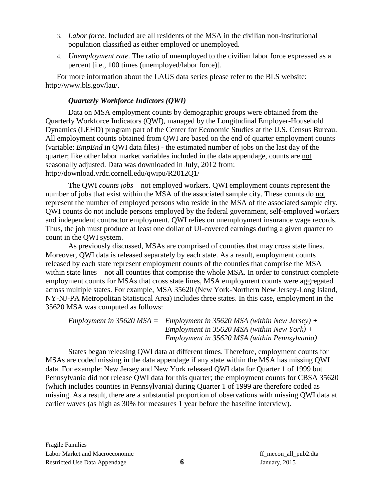- 3. *Labor force*. Included are all residents of the MSA in the civilian non-institutional population classified as either employed or unemployed.
- 4. *Unemployment rate*. The ratio of unemployed to the civilian labor force expressed as a percent [i.e., 100 times (unemployed/labor force)].

For more information about the LAUS data series please refer to the BLS website: http://www.bls.gov/lau/.

# *Quarterly Workforce Indictors (QWI)*

Data on MSA employment counts by demographic groups were obtained from the Quarterly Workforce Indicators (QWI), managed by the Longitudinal Employer-Household Dynamics (LEHD) program part of the Center for Economic Studies at the U.S. Census Bureau. All employment counts obtained from QWI are based on the end of quarter employment counts (variable: *EmpEnd* in QWI data files) - the estimated number of jobs on the last day of the quarter; like other labor market variables included in the data appendage, counts are not seasonally adjusted. Data was downloaded in July, 2012 from: http://download.vrdc.cornell.edu/qwipu/R2012Q1/

The QWI *counts jobs* – not employed workers. QWI employment counts represent the number of jobs that exist within the MSA of the associated sample city. These counts do not represent the number of employed persons who reside in the MSA of the associated sample city. QWI counts do not include persons employed by the federal government, self-employed workers and independent contractor employment. QWI relies on unemployment insurance wage records. Thus, the job must produce at least one dollar of UI-covered earnings during a given quarter to count in the QWI system.

As previously discussed, MSAs are comprised of counties that may cross state lines. Moreover, QWI data is released separately by each state. As a result, employment counts released by each state represent employment counts of the counties that comprise the MSA within state lines – not all counties that comprise the whole MSA. In order to construct complete employment counts for MSAs that cross state lines, MSA employment counts were aggregated across multiple states. For example, MSA 35620 (New York-Northern New Jersey-Long Island, NY-NJ-PA Metropolitan Statistical Area) includes three states. In this case, employment in the 35620 MSA was computed as follows:

*Employment in 35620 MSA = Employment in 35620 MSA (within New Jersey) + Employment in 35620 MSA (within New York) + Employment in 35620 MSA (within Pennsylvania)*

States began releasing QWI data at different times. Therefore, employment counts for MSAs are coded missing in the data appendage if any state within the MSA has missing QWI data. For example: New Jersey and New York released QWI data for Quarter 1 of 1999 but Pennsylvania did not release QWI data for this quarter; the employment counts for CBSA 35620 (which includes counties in Pennsylvania) during Quarter 1 of 1999 are therefore coded as missing. As a result, there are a substantial proportion of observations with missing QWI data at earlier waves (as high as 30% for measures 1 year before the baseline interview).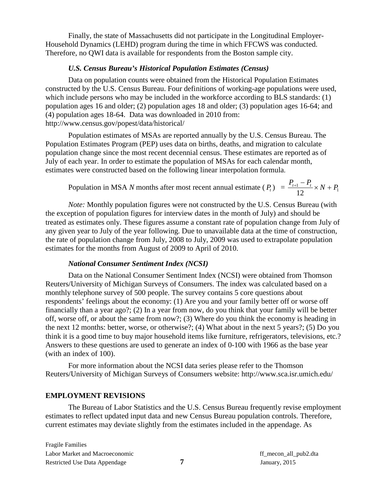Finally, the state of Massachusetts did not participate in the Longitudinal Employer-Household Dynamics (LEHD) program during the time in which FFCWS was conducted. Therefore, no QWI data is available for respondents from the Boston sample city.

#### *U.S. Census Bureau's Historical Population Estimates (Census)*

Data on population counts were obtained from the Historical Population Estimates constructed by the U.S. Census Bureau. Four definitions of working-age populations were used, which include persons who may be included in the workforce according to BLS standards: (1) population ages 16 and older; (2) population ages 18 and older; (3) population ages 16-64; and (4) population ages 18-64. Data was downloaded in 2010 from: <http://www.census.gov/popest/data/historical/>

Population estimates of MSAs are reported annually by the U.S. Census Bureau. The Population Estimates Program (PEP) uses data on births, deaths, and migration to calculate population change since the most recent decennial census. These estimates are reported as of July of each year. In order to estimate the population of MSAs for each calendar month, estimates were constructed based on the following linear interpolation formula.

Population in MSA *N* months after most recent annual estimate  $(P_t) = \frac{P_{t+1} - P_t}{12} \times N + P_1$ 12  $\frac{P_{t+1} - P_t}{2 \cdot R} \times N + P_1$ 

*Note:* Monthly population figures were not constructed by the U.S. Census Bureau (with the exception of population figures for interview dates in the month of July) and should be treated as estimates only. These figures assume a constant rate of population change from July of any given year to July of the year following. Due to unavailable data at the time of construction, the rate of population change from July, 2008 to July, 2009 was used to extrapolate population estimates for the months from August of 2009 to April of 2010.

#### *National Consumer Sentiment Index (NCSI)*

Data on the National Consumer Sentiment Index (NCSI) were obtained from Thomson Reuters/University of Michigan Surveys of Consumers. The index was calculated based on a monthly telephone survey of 500 people. The survey contains 5 core questions about respondents' feelings about the economy: (1) Are you and your family better off or worse off financially than a year ago?; (2) In a year from now, do you think that your family will be better off, worse off, or about the same from now?; (3) Where do you think the economy is heading in the next 12 months: better, worse, or otherwise?; (4) What about in the next 5 years?; (5) Do you think it is a good time to buy major household items like furniture, refrigerators, televisions, etc.? Answers to these questions are used to generate an index of 0-100 with 1966 as the base year (with an index of 100).

For more information about the NCSI data series please refer to the Thomson Reuters/University of Michigan Surveys of Consumers website: http://www.sca.isr.umich.edu/

#### **EMPLOYMENT REVISIONS**

The Bureau of Labor Statistics and the U.S. Census Bureau frequently revise employment estimates to reflect updated input data and new Census Bureau population controls. Therefore, current estimates may deviate slightly from the estimates included in the appendage. As

Fragile Families Labor Market and Macroeconomic ff\_mecon\_all\_pub2.dta Restricted Use Data Appendage **7** January, 2015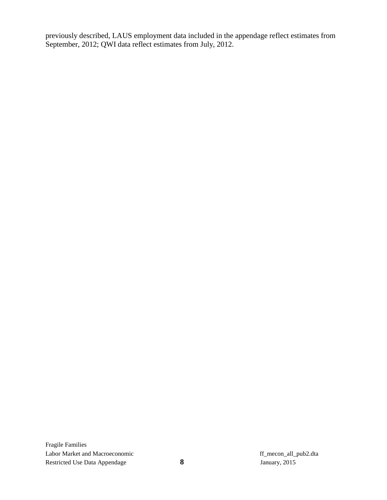previously described, LAUS employment data included in the appendage reflect estimates from September, 2012; QWI data reflect estimates from July, 2012.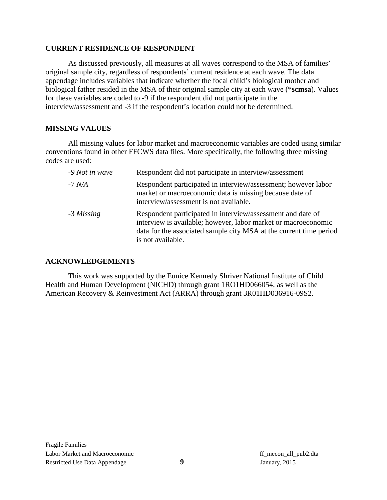## **CURRENT RESIDENCE OF RESPONDENT**

As discussed previously, all measures at all waves correspond to the MSA of families' original sample city, regardless of respondents' current residence at each wave. The data appendage includes variables that indicate whether the focal child's biological mother and biological father resided in the MSA of their original sample city at each wave (\***scmsa**). Values for these variables are coded to -9 if the respondent did not participate in the interview/assessment and -3 if the respondent's location could not be determined.

# **MISSING VALUES**

All missing values for labor market and macroeconomic variables are coded using similar conventions found in other FFCWS data files. More specifically, the following three missing codes are used:

| -9 Not in wave | Respondent did not participate in interview/assessment                                                                                                                                                                   |
|----------------|--------------------------------------------------------------------------------------------------------------------------------------------------------------------------------------------------------------------------|
| -7 N/A         | Respondent participated in interview/assessment; however labor<br>market or macroeconomic data is missing because date of<br>interview/assessment is not available.                                                      |
| -3 Missing     | Respondent participated in interview/assessment and date of<br>interview is available; however, labor market or macroeconomic<br>data for the associated sample city MSA at the current time period<br>is not available. |

# **ACKNOWLEDGEMENTS**

This work was supported by the Eunice Kennedy Shriver National Institute of Child Health and Human Development (NICHD) through grant 1RO1HD066054, as well as the American Recovery & Reinvestment Act (ARRA) through grant 3R01HD036916-09S2.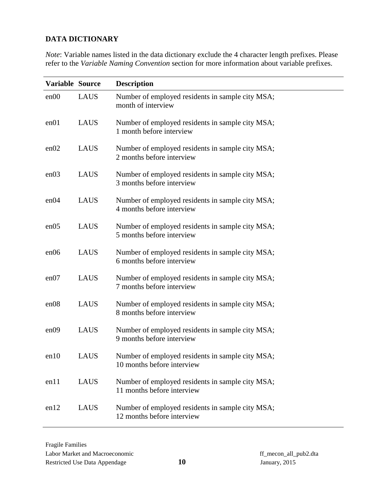# **DATA DICTIONARY**

*Note*: Variable names listed in the data dictionary exclude the 4 character length prefixes. Please refer to the *[Variable Naming Convention](#page-1-0)* section for more information about variable prefixes.

| Variable Source |             | <b>Description</b>                                                             |
|-----------------|-------------|--------------------------------------------------------------------------------|
| en00            | <b>LAUS</b> | Number of employed residents in sample city MSA;<br>month of interview         |
| en01            | <b>LAUS</b> | Number of employed residents in sample city MSA;<br>1 month before interview   |
| en02            | <b>LAUS</b> | Number of employed residents in sample city MSA;<br>2 months before interview  |
| en03            | <b>LAUS</b> | Number of employed residents in sample city MSA;<br>3 months before interview  |
| en04            | <b>LAUS</b> | Number of employed residents in sample city MSA;<br>4 months before interview  |
| en05            | <b>LAUS</b> | Number of employed residents in sample city MSA;<br>5 months before interview  |
| en06            | <b>LAUS</b> | Number of employed residents in sample city MSA;<br>6 months before interview  |
| en07            | <b>LAUS</b> | Number of employed residents in sample city MSA;<br>7 months before interview  |
| en08            | <b>LAUS</b> | Number of employed residents in sample city MSA;<br>8 months before interview  |
| en09            | <b>LAUS</b> | Number of employed residents in sample city MSA;<br>9 months before interview  |
| en10            | <b>LAUS</b> | Number of employed residents in sample city MSA;<br>10 months before interview |
| en11            | LAUS        | Number of employed residents in sample city MSA;<br>11 months before interview |
| en12            | <b>LAUS</b> | Number of employed residents in sample city MSA;<br>12 months before interview |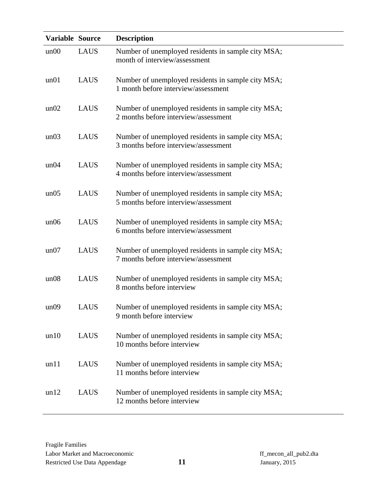| Variable Source |             | <b>Description</b>                                                                         |
|-----------------|-------------|--------------------------------------------------------------------------------------------|
| un00            | <b>LAUS</b> | Number of unemployed residents in sample city MSA;<br>month of interview/assessment        |
| un01            | <b>LAUS</b> | Number of unemployed residents in sample city MSA;<br>1 month before interview/assessment  |
| un02            | <b>LAUS</b> | Number of unemployed residents in sample city MSA;<br>2 months before interview/assessment |
| un03            | <b>LAUS</b> | Number of unemployed residents in sample city MSA;<br>3 months before interview/assessment |
| un04            | <b>LAUS</b> | Number of unemployed residents in sample city MSA;<br>4 months before interview/assessment |
| un05            | <b>LAUS</b> | Number of unemployed residents in sample city MSA;<br>5 months before interview/assessment |
| un06            | <b>LAUS</b> | Number of unemployed residents in sample city MSA;<br>6 months before interview/assessment |
| un07            | <b>LAUS</b> | Number of unemployed residents in sample city MSA;<br>7 months before interview/assessment |
| un08            | <b>LAUS</b> | Number of unemployed residents in sample city MSA;<br>8 months before interview            |
| un09            | <b>LAUS</b> | Number of unemployed residents in sample city MSA;<br>9 month before interview             |
| un10            | <b>LAUS</b> | Number of unemployed residents in sample city MSA;<br>10 months before interview           |
| un11            | <b>LAUS</b> | Number of unemployed residents in sample city MSA;<br>11 months before interview           |
| un12            | <b>LAUS</b> | Number of unemployed residents in sample city MSA;<br>12 months before interview           |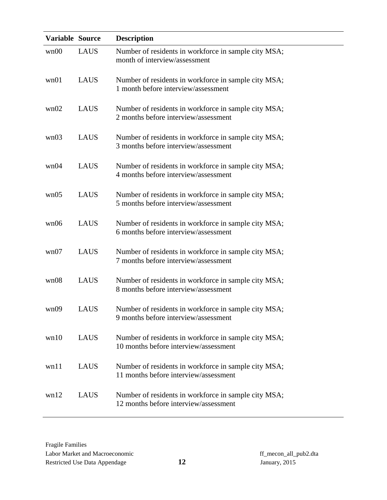| Variable Source |             | <b>Description</b>                                                                            |
|-----------------|-------------|-----------------------------------------------------------------------------------------------|
| wn00            | <b>LAUS</b> | Number of residents in workforce in sample city MSA;<br>month of interview/assessment         |
| wn01            | <b>LAUS</b> | Number of residents in workforce in sample city MSA;<br>1 month before interview/assessment   |
| wn02            | <b>LAUS</b> | Number of residents in workforce in sample city MSA;<br>2 months before interview/assessment  |
| wn03            | <b>LAUS</b> | Number of residents in workforce in sample city MSA;<br>3 months before interview/assessment  |
| wn04            | <b>LAUS</b> | Number of residents in workforce in sample city MSA;<br>4 months before interview/assessment  |
| wn05            | <b>LAUS</b> | Number of residents in workforce in sample city MSA;<br>5 months before interview/assessment  |
| wn06            | <b>LAUS</b> | Number of residents in workforce in sample city MSA;<br>6 months before interview/assessment  |
| wn07            | <b>LAUS</b> | Number of residents in workforce in sample city MSA;<br>7 months before interview/assessment  |
| wn08            | <b>LAUS</b> | Number of residents in workforce in sample city MSA;<br>8 months before interview/assessment  |
| wn09            | <b>LAUS</b> | Number of residents in workforce in sample city MSA;<br>9 months before interview/assessment  |
| wn10            | <b>LAUS</b> | Number of residents in workforce in sample city MSA;<br>10 months before interview/assessment |
| wn11            | <b>LAUS</b> | Number of residents in workforce in sample city MSA;<br>11 months before interview/assessment |
| wn12            | <b>LAUS</b> | Number of residents in workforce in sample city MSA;<br>12 months before interview/assessment |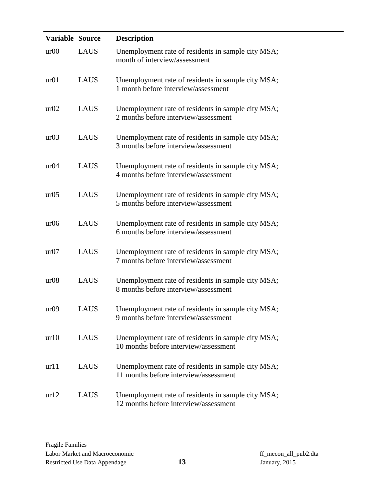| Variable Source |             | <b>Description</b>                                                                          |
|-----------------|-------------|---------------------------------------------------------------------------------------------|
| ur00            | <b>LAUS</b> | Unemployment rate of residents in sample city MSA;<br>month of interview/assessment         |
| ur01            | <b>LAUS</b> | Unemployment rate of residents in sample city MSA;<br>1 month before interview/assessment   |
| ur02            | <b>LAUS</b> | Unemployment rate of residents in sample city MSA;<br>2 months before interview/assessment  |
| ur03            | <b>LAUS</b> | Unemployment rate of residents in sample city MSA;<br>3 months before interview/assessment  |
| ur04            | <b>LAUS</b> | Unemployment rate of residents in sample city MSA;<br>4 months before interview/assessment  |
| ur05            | <b>LAUS</b> | Unemployment rate of residents in sample city MSA;<br>5 months before interview/assessment  |
| ur06            | <b>LAUS</b> | Unemployment rate of residents in sample city MSA;<br>6 months before interview/assessment  |
| ur07            | <b>LAUS</b> | Unemployment rate of residents in sample city MSA;<br>7 months before interview/assessment  |
| ur08            | <b>LAUS</b> | Unemployment rate of residents in sample city MSA;<br>8 months before interview/assessment  |
| ur09            | <b>LAUS</b> | Unemployment rate of residents in sample city MSA;<br>9 months before interview/assessment  |
| ur10            | <b>LAUS</b> | Unemployment rate of residents in sample city MSA;<br>10 months before interview/assessment |
| url1            | <b>LAUS</b> | Unemployment rate of residents in sample city MSA;<br>11 months before interview/assessment |
| ur12            | <b>LAUS</b> | Unemployment rate of residents in sample city MSA;<br>12 months before interview/assessment |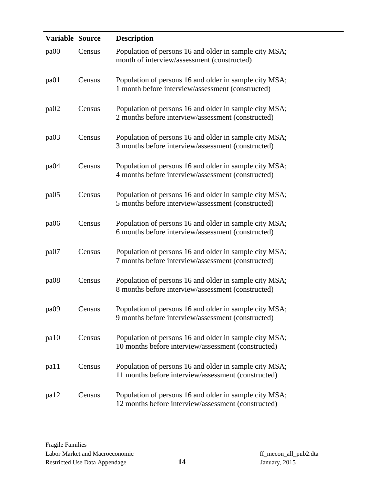| Variable Source  |        | <b>Description</b>                                                                                            |
|------------------|--------|---------------------------------------------------------------------------------------------------------------|
| pa00             | Census | Population of persons 16 and older in sample city MSA;<br>month of interview/assessment (constructed)         |
| pa01             | Census | Population of persons 16 and older in sample city MSA;<br>1 month before interview/assessment (constructed)   |
| pa <sub>02</sub> | Census | Population of persons 16 and older in sample city MSA;<br>2 months before interview/assessment (constructed)  |
| pa03             | Census | Population of persons 16 and older in sample city MSA;<br>3 months before interview/assessment (constructed)  |
| pa04             | Census | Population of persons 16 and older in sample city MSA;<br>4 months before interview/assessment (constructed)  |
| pa05             | Census | Population of persons 16 and older in sample city MSA;<br>5 months before interview/assessment (constructed)  |
| pa06             | Census | Population of persons 16 and older in sample city MSA;<br>6 months before interview/assessment (constructed)  |
| pa07             | Census | Population of persons 16 and older in sample city MSA;<br>7 months before interview/assessment (constructed)  |
| pa08             | Census | Population of persons 16 and older in sample city MSA;<br>8 months before interview/assessment (constructed)  |
| pa09             | Census | Population of persons 16 and older in sample city MSA;<br>9 months before interview/assessment (constructed)  |
| pa10             | Census | Population of persons 16 and older in sample city MSA;<br>10 months before interview/assessment (constructed) |
| pa11             | Census | Population of persons 16 and older in sample city MSA;<br>11 months before interview/assessment (constructed) |
| pa <sub>12</sub> | Census | Population of persons 16 and older in sample city MSA;<br>12 months before interview/assessment (constructed) |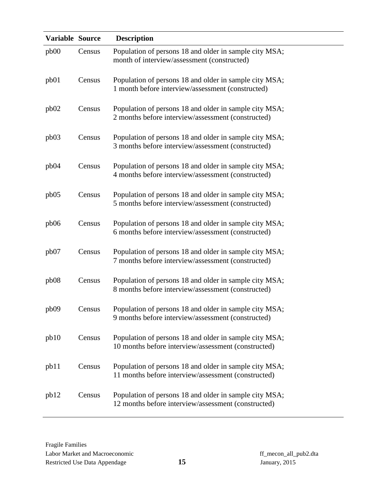| Variable Source |        | <b>Description</b>                                                                                            |
|-----------------|--------|---------------------------------------------------------------------------------------------------------------|
| pb00            | Census | Population of persons 18 and older in sample city MSA;<br>month of interview/assessment (constructed)         |
| pb01            | Census | Population of persons 18 and older in sample city MSA;<br>1 month before interview/assessment (constructed)   |
| pb02            | Census | Population of persons 18 and older in sample city MSA;<br>2 months before interview/assessment (constructed)  |
| pb03            | Census | Population of persons 18 and older in sample city MSA;<br>3 months before interview/assessment (constructed)  |
| pb04            | Census | Population of persons 18 and older in sample city MSA;<br>4 months before interview/assessment (constructed)  |
| pb05            | Census | Population of persons 18 and older in sample city MSA;<br>5 months before interview/assessment (constructed)  |
| pb06            | Census | Population of persons 18 and older in sample city MSA;<br>6 months before interview/assessment (constructed)  |
| pb07            | Census | Population of persons 18 and older in sample city MSA;<br>7 months before interview/assessment (constructed)  |
| pb08            | Census | Population of persons 18 and older in sample city MSA;<br>8 months before interview/assessment (constructed)  |
| pb09            | Census | Population of persons 18 and older in sample city MSA;<br>9 months before interview/assessment (constructed)  |
| pb10            | Census | Population of persons 18 and older in sample city MSA;<br>10 months before interview/assessment (constructed) |
| pb11            | Census | Population of persons 18 and older in sample city MSA;<br>11 months before interview/assessment (constructed) |
| pb12            | Census | Population of persons 18 and older in sample city MSA;<br>12 months before interview/assessment (constructed) |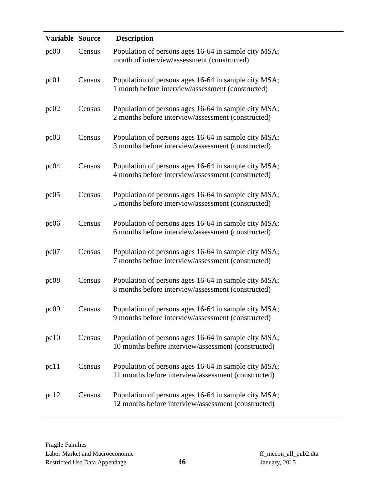| Variable Source |        | <b>Description</b>                                                                                          |
|-----------------|--------|-------------------------------------------------------------------------------------------------------------|
| pc00            | Census | Population of persons ages 16-64 in sample city MSA;<br>month of interview/assessment (constructed)         |
| pc01            | Census | Population of persons ages 16-64 in sample city MSA;<br>1 month before interview/assessment (constructed)   |
| pc02            | Census | Population of persons ages 16-64 in sample city MSA;<br>2 months before interview/assessment (constructed)  |
| pc03            | Census | Population of persons ages 16-64 in sample city MSA;<br>3 months before interview/assessment (constructed)  |
| pc04            | Census | Population of persons ages 16-64 in sample city MSA;<br>4 months before interview/assessment (constructed)  |
| pc05            | Census | Population of persons ages 16-64 in sample city MSA;<br>5 months before interview/assessment (constructed)  |
| pc06            | Census | Population of persons ages 16-64 in sample city MSA;<br>6 months before interview/assessment (constructed)  |
| pc07            | Census | Population of persons ages 16-64 in sample city MSA;<br>7 months before interview/assessment (constructed)  |
| pc08            | Census | Population of persons ages 16-64 in sample city MSA;<br>8 months before interview/assessment (constructed)  |
| pc09            | Census | Population of persons ages 16-64 in sample city MSA;<br>9 months before interview/assessment (constructed)  |
| pc10            | Census | Population of persons ages 16-64 in sample city MSA;<br>10 months before interview/assessment (constructed) |
| pc11            | Census | Population of persons ages 16-64 in sample city MSA;<br>11 months before interview/assessment (constructed) |
| pc12            | Census | Population of persons ages 16-64 in sample city MSA;<br>12 months before interview/assessment (constructed) |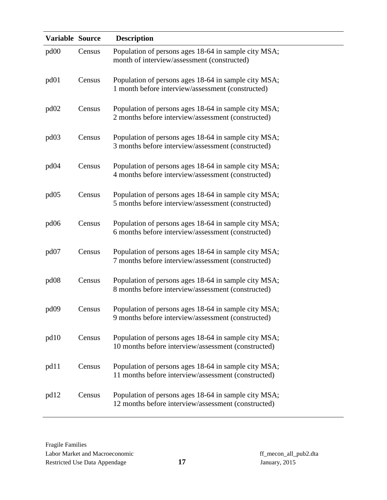| Variable Source  |        | <b>Description</b>                                                                                          |
|------------------|--------|-------------------------------------------------------------------------------------------------------------|
| pd00             | Census | Population of persons ages 18-64 in sample city MSA;<br>month of interview/assessment (constructed)         |
| pd01             | Census | Population of persons ages 18-64 in sample city MSA;<br>1 month before interview/assessment (constructed)   |
| pd <sub>02</sub> | Census | Population of persons ages 18-64 in sample city MSA;<br>2 months before interview/assessment (constructed)  |
| pd <sub>03</sub> | Census | Population of persons ages 18-64 in sample city MSA;<br>3 months before interview/assessment (constructed)  |
| pd <sub>04</sub> | Census | Population of persons ages 18-64 in sample city MSA;<br>4 months before interview/assessment (constructed)  |
| pd <sub>05</sub> | Census | Population of persons ages 18-64 in sample city MSA;<br>5 months before interview/assessment (constructed)  |
| pd06             | Census | Population of persons ages 18-64 in sample city MSA;<br>6 months before interview/assessment (constructed)  |
| pd <sub>07</sub> | Census | Population of persons ages 18-64 in sample city MSA;<br>7 months before interview/assessment (constructed)  |
| pd <sub>08</sub> | Census | Population of persons ages 18-64 in sample city MSA;<br>8 months before interview/assessment (constructed)  |
| pd09             | Census | Population of persons ages 18-64 in sample city MSA;<br>9 months before interview/assessment (constructed)  |
| pd10             | Census | Population of persons ages 18-64 in sample city MSA;<br>10 months before interview/assessment (constructed) |
| pd11             | Census | Population of persons ages 18-64 in sample city MSA;<br>11 months before interview/assessment (constructed) |
| pd12             | Census | Population of persons ages 18-64 in sample city MSA;<br>12 months before interview/assessment (constructed) |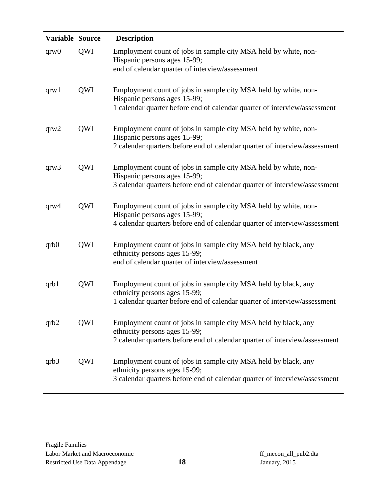| Variable Source |     | <b>Description</b>                                                                                          |
|-----------------|-----|-------------------------------------------------------------------------------------------------------------|
| qrw0            | QWI | Employment count of jobs in sample city MSA held by white, non-<br>Hispanic persons ages 15-99;             |
|                 |     | end of calendar quarter of interview/assessment                                                             |
| qrw1            | QWI | Employment count of jobs in sample city MSA held by white, non-<br>Hispanic persons ages 15-99;             |
|                 |     | 1 calendar quarter before end of calendar quarter of interview/assessment                                   |
| qrw2            | QWI | Employment count of jobs in sample city MSA held by white, non-<br>Hispanic persons ages 15-99;             |
|                 |     | 2 calendar quarters before end of calendar quarter of interview/assessment                                  |
| qrw3            | QWI | Employment count of jobs in sample city MSA held by white, non-<br>Hispanic persons ages 15-99;             |
|                 |     | 3 calendar quarters before end of calendar quarter of interview/assessment                                  |
| qrw4            | QWI | Employment count of jobs in sample city MSA held by white, non-<br>Hispanic persons ages 15-99;             |
|                 |     | 4 calendar quarters before end of calendar quarter of interview/assessment                                  |
| qrb0            | QWI | Employment count of jobs in sample city MSA held by black, any<br>ethnicity persons ages 15-99;             |
|                 |     | end of calendar quarter of interview/assessment                                                             |
| qrb1            | QWI | Employment count of jobs in sample city MSA held by black, any<br>ethnicity persons ages 15-99;             |
|                 |     | 1 calendar quarter before end of calendar quarter of interview/assessment                                   |
| qrb2            | QWI | Employment count of jobs in sample city MSA held by black, any                                              |
|                 |     | ethnicity persons ages 15-99;<br>2 calendar quarters before end of calendar quarter of interview/assessment |
| qrb3            | QWI | Employment count of jobs in sample city MSA held by black, any<br>ethnicity persons ages 15-99;             |
|                 |     | 3 calendar quarters before end of calendar quarter of interview/assessment                                  |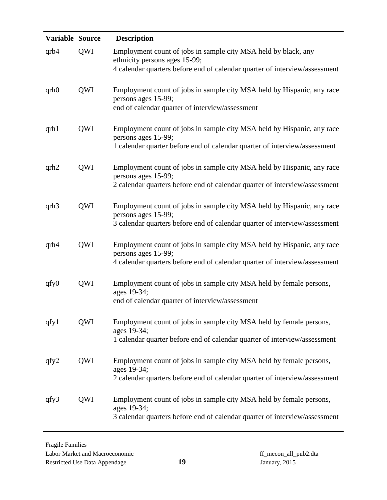| Variable Source |            | <b>Description</b>                                                                                                                                                            |
|-----------------|------------|-------------------------------------------------------------------------------------------------------------------------------------------------------------------------------|
| qrb4            | QWI        | Employment count of jobs in sample city MSA held by black, any<br>ethnicity persons ages 15-99;<br>4 calendar quarters before end of calendar quarter of interview/assessment |
| qrb0            | QWI        | Employment count of jobs in sample city MSA held by Hispanic, any race<br>persons ages 15-99;<br>end of calendar quarter of interview/assessment                              |
| qrh1            | QWI        | Employment count of jobs in sample city MSA held by Hispanic, any race<br>persons ages 15-99;<br>1 calendar quarter before end of calendar quarter of interview/assessment    |
| qrh2            | QWI        | Employment count of jobs in sample city MSA held by Hispanic, any race<br>persons ages 15-99;<br>2 calendar quarters before end of calendar quarter of interview/assessment   |
| qrh3            | QWI        | Employment count of jobs in sample city MSA held by Hispanic, any race<br>persons ages 15-99;<br>3 calendar quarters before end of calendar quarter of interview/assessment   |
| qrh4            | QWI        | Employment count of jobs in sample city MSA held by Hispanic, any race<br>persons ages 15-99;<br>4 calendar quarters before end of calendar quarter of interview/assessment   |
| qfy0            | QWI        | Employment count of jobs in sample city MSA held by female persons,<br>ages 19-34;<br>end of calendar quarter of interview/assessment                                         |
| qfy1            | <b>QWI</b> | Employment count of jobs in sample city MSA held by female persons,<br>ages 19-34;<br>1 calendar quarter before end of calendar quarter of interview/assessment               |
| qfy2            | QWI        | Employment count of jobs in sample city MSA held by female persons,<br>ages 19-34;<br>2 calendar quarters before end of calendar quarter of interview/assessment              |
| qfy3            | QWI        | Employment count of jobs in sample city MSA held by female persons,<br>ages 19-34;<br>3 calendar quarters before end of calendar quarter of interview/assessment              |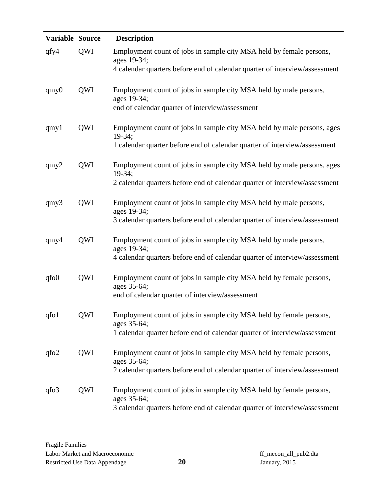| Variable Source |     | <b>Description</b>                                                                                                                                               |
|-----------------|-----|------------------------------------------------------------------------------------------------------------------------------------------------------------------|
| qfy4            | QWI | Employment count of jobs in sample city MSA held by female persons,<br>ages 19-34;<br>4 calendar quarters before end of calendar quarter of interview/assessment |
|                 |     |                                                                                                                                                                  |
| $q$ my $0$      | QWI | Employment count of jobs in sample city MSA held by male persons,<br>ages 19-34;                                                                                 |
|                 |     | end of calendar quarter of interview/assessment                                                                                                                  |
| qmy1            | QWI | Employment count of jobs in sample city MSA held by male persons, ages<br>$19-34;$                                                                               |
|                 |     | 1 calendar quarter before end of calendar quarter of interview/assessment                                                                                        |
| qmy2            | QWI | Employment count of jobs in sample city MSA held by male persons, ages<br>$19-34;$                                                                               |
|                 |     | 2 calendar quarters before end of calendar quarter of interview/assessment                                                                                       |
| qmy3            | QWI | Employment count of jobs in sample city MSA held by male persons,<br>ages 19-34;                                                                                 |
|                 |     | 3 calendar quarters before end of calendar quarter of interview/assessment                                                                                       |
| $q$ my $4$      | QWI | Employment count of jobs in sample city MSA held by male persons,<br>ages 19-34;                                                                                 |
|                 |     | 4 calendar quarters before end of calendar quarter of interview/assessment                                                                                       |
| qfo0            | QWI | Employment count of jobs in sample city MSA held by female persons,<br>ages 35-64;                                                                               |
|                 |     | end of calendar quarter of interview/assessment                                                                                                                  |
| qfo1            | QWI | Employment count of jobs in sample city MSA held by female persons,<br>ages 35-64;                                                                               |
|                 |     | 1 calendar quarter before end of calendar quarter of interview/assessment                                                                                        |
| qfo2            | QWI | Employment count of jobs in sample city MSA held by female persons,<br>ages 35-64;                                                                               |
|                 |     | 2 calendar quarters before end of calendar quarter of interview/assessment                                                                                       |
| qfo3            | QWI | Employment count of jobs in sample city MSA held by female persons,<br>ages 35-64;                                                                               |
|                 |     | 3 calendar quarters before end of calendar quarter of interview/assessment                                                                                       |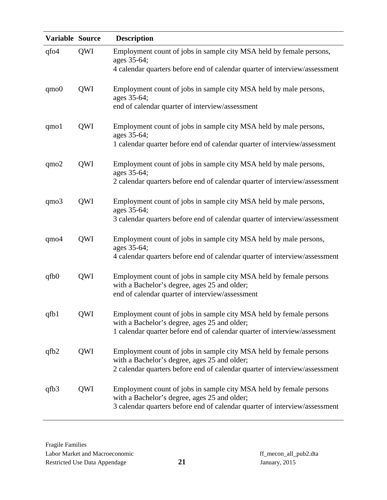| Variable Source  |     | <b>Description</b>                                                                                                                                                    |
|------------------|-----|-----------------------------------------------------------------------------------------------------------------------------------------------------------------------|
| qfo4             | QWI | Employment count of jobs in sample city MSA held by female persons,<br>ages 35-64;<br>4 calendar quarters before end of calendar quarter of interview/assessment      |
|                  |     |                                                                                                                                                                       |
| $q_{\text{m0}}$  | QWI | Employment count of jobs in sample city MSA held by male persons,<br>ages 35-64;                                                                                      |
|                  |     | end of calendar quarter of interview/assessment                                                                                                                       |
| qmo1             | QWI | Employment count of jobs in sample city MSA held by male persons,<br>ages 35-64;                                                                                      |
|                  |     | 1 calendar quarter before end of calendar quarter of interview/assessment                                                                                             |
| $q_{\text{m02}}$ | QWI | Employment count of jobs in sample city MSA held by male persons,<br>ages 35-64;                                                                                      |
|                  |     | 2 calendar quarters before end of calendar quarter of interview/assessment                                                                                            |
| qmo3             | QWI | Employment count of jobs in sample city MSA held by male persons,<br>ages 35-64;                                                                                      |
|                  |     | 3 calendar quarters before end of calendar quarter of interview/assessment                                                                                            |
| $q$ mo $4$       | QWI | Employment count of jobs in sample city MSA held by male persons,<br>ages 35-64;                                                                                      |
|                  |     | 4 calendar quarters before end of calendar quarter of interview/assessment                                                                                            |
| qfb0             | QWI | Employment count of jobs in sample city MSA held by female persons<br>with a Bachelor's degree, ages 25 and older;<br>end of calendar quarter of interview/assessment |
| qfb1             | QWI | Employment count of jobs in sample city MSA held by female persons                                                                                                    |
|                  |     | with a Bachelor's degree, ages 25 and older;<br>1 calendar quarter before end of calendar quarter of interview/assessment                                             |
| qfb2             | QWI | Employment count of jobs in sample city MSA held by female persons                                                                                                    |
|                  |     | with a Bachelor's degree, ages 25 and older;<br>2 calendar quarters before end of calendar quarter of interview/assessment                                            |
| qfb3             | QWI | Employment count of jobs in sample city MSA held by female persons<br>with a Bachelor's degree, ages 25 and older;                                                    |
|                  |     | 3 calendar quarters before end of calendar quarter of interview/assessment                                                                                            |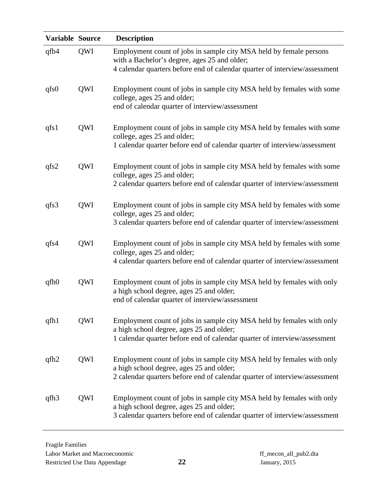| <b>Variable Source</b> |     | <b>Description</b>                                                                                                                                                                               |
|------------------------|-----|--------------------------------------------------------------------------------------------------------------------------------------------------------------------------------------------------|
| qfb4                   | QWI | Employment count of jobs in sample city MSA held by female persons<br>with a Bachelor's degree, ages 25 and older;<br>4 calendar quarters before end of calendar quarter of interview/assessment |
| qfs0                   | QWI | Employment count of jobs in sample city MSA held by females with some<br>college, ages 25 and older;<br>end of calendar quarter of interview/assessment                                          |
| qfs1                   | QWI | Employment count of jobs in sample city MSA held by females with some<br>college, ages 25 and older;<br>1 calendar quarter before end of calendar quarter of interview/assessment                |
| qfs2                   | QWI | Employment count of jobs in sample city MSA held by females with some<br>college, ages 25 and older;<br>2 calendar quarters before end of calendar quarter of interview/assessment               |
| qfs3                   | QWI | Employment count of jobs in sample city MSA held by females with some<br>college, ages 25 and older;<br>3 calendar quarters before end of calendar quarter of interview/assessment               |
| qfs4                   | QWI | Employment count of jobs in sample city MSA held by females with some<br>college, ages 25 and older;<br>4 calendar quarters before end of calendar quarter of interview/assessment               |
| qfh0                   | QWI | Employment count of jobs in sample city MSA held by females with only<br>a high school degree, ages 25 and older;<br>end of calendar quarter of interview/assessment                             |
| qfh1                   | QWI | Employment count of jobs in sample city MSA held by females with only<br>a high school degree, ages 25 and older;<br>1 calendar quarter before end of calendar quarter of interview/assessment   |
| qfh2                   | QWI | Employment count of jobs in sample city MSA held by females with only<br>a high school degree, ages 25 and older;<br>2 calendar quarters before end of calendar quarter of interview/assessment  |
| qfh <sub>3</sub>       | QWI | Employment count of jobs in sample city MSA held by females with only<br>a high school degree, ages 25 and older;<br>3 calendar quarters before end of calendar quarter of interview/assessment  |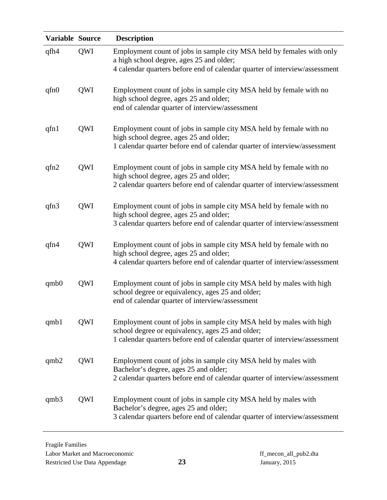| Variable Source |     | <b>Description</b>                                                                                                                                                                                    |
|-----------------|-----|-------------------------------------------------------------------------------------------------------------------------------------------------------------------------------------------------------|
| qfh4            | QWI | Employment count of jobs in sample city MSA held by females with only<br>a high school degree, ages 25 and older;<br>4 calendar quarters before end of calendar quarter of interview/assessment       |
| qfn0            | QWI | Employment count of jobs in sample city MSA held by female with no<br>high school degree, ages 25 and older;<br>end of calendar quarter of interview/assessment                                       |
| qfn1            | QWI | Employment count of jobs in sample city MSA held by female with no<br>high school degree, ages 25 and older;<br>1 calendar quarter before end of calendar quarter of interview/assessment             |
| qfn2            | QWI | Employment count of jobs in sample city MSA held by female with no<br>high school degree, ages 25 and older;<br>2 calendar quarters before end of calendar quarter of interview/assessment            |
| qfn3            | QWI | Employment count of jobs in sample city MSA held by female with no<br>high school degree, ages 25 and older;<br>3 calendar quarters before end of calendar quarter of interview/assessment            |
| qfn4            | QWI | Employment count of jobs in sample city MSA held by female with no<br>high school degree, ages 25 and older;<br>4 calendar quarters before end of calendar quarter of interview/assessment            |
| qmb0            | QWI | Employment count of jobs in sample city MSA held by males with high<br>school degree or equivalency, ages 25 and older;<br>end of calendar quarter of interview/assessment                            |
| qmb1            | QWI | Employment count of jobs in sample city MSA held by males with high<br>school degree or equivalency, ages 25 and older;<br>1 calendar quarters before end of calendar quarter of interview/assessment |
| qmb2            | QWI | Employment count of jobs in sample city MSA held by males with<br>Bachelor's degree, ages 25 and older;<br>2 calendar quarters before end of calendar quarter of interview/assessment                 |
| qmb3            | QWI | Employment count of jobs in sample city MSA held by males with<br>Bachelor's degree, ages 25 and older;<br>3 calendar quarters before end of calendar quarter of interview/assessment                 |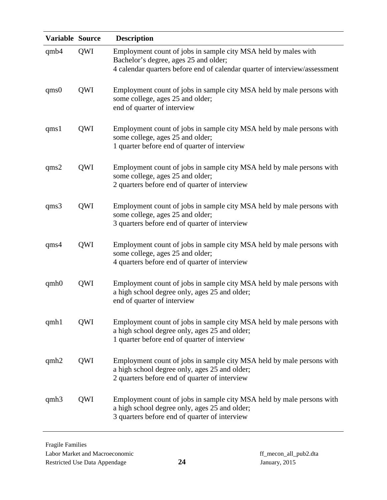| Variable Source |     | <b>Description</b>                                                                                                                                                                    |
|-----------------|-----|---------------------------------------------------------------------------------------------------------------------------------------------------------------------------------------|
| qmb4            | QWI | Employment count of jobs in sample city MSA held by males with<br>Bachelor's degree, ages 25 and older;<br>4 calendar quarters before end of calendar quarter of interview/assessment |
| qms0            | QWI | Employment count of jobs in sample city MSA held by male persons with<br>some college, ages 25 and older;<br>end of quarter of interview                                              |
| qms1            | QWI | Employment count of jobs in sample city MSA held by male persons with<br>some college, ages 25 and older;<br>1 quarter before end of quarter of interview                             |
| qms2            | QWI | Employment count of jobs in sample city MSA held by male persons with<br>some college, ages 25 and older;<br>2 quarters before end of quarter of interview                            |
| qms3            | QWI | Employment count of jobs in sample city MSA held by male persons with<br>some college, ages 25 and older;<br>3 quarters before end of quarter of interview                            |
| qms4            | QWI | Employment count of jobs in sample city MSA held by male persons with<br>some college, ages 25 and older;<br>4 quarters before end of quarter of interview                            |
| qmb0            | QWI | Employment count of jobs in sample city MSA held by male persons with<br>a high school degree only, ages 25 and older;<br>end of quarter of interview                                 |
| qmh1            | QWI | Employment count of jobs in sample city MSA held by male persons with<br>a high school degree only, ages 25 and older;<br>1 quarter before end of quarter of interview                |
| qmb2            | QWI | Employment count of jobs in sample city MSA held by male persons with<br>a high school degree only, ages 25 and older;<br>2 quarters before end of quarter of interview               |
| qmb3            | QWI | Employment count of jobs in sample city MSA held by male persons with<br>a high school degree only, ages 25 and older;<br>3 quarters before end of quarter of interview               |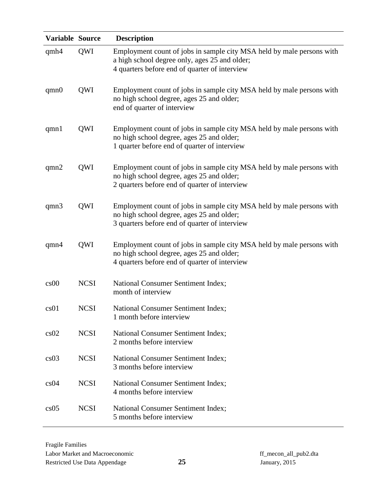| Variable Source |             | <b>Description</b>                                                                                                                                                      |
|-----------------|-------------|-------------------------------------------------------------------------------------------------------------------------------------------------------------------------|
| qmh4            | QWI         | Employment count of jobs in sample city MSA held by male persons with<br>a high school degree only, ages 25 and older;<br>4 quarters before end of quarter of interview |
| qmn0            | QWI         | Employment count of jobs in sample city MSA held by male persons with<br>no high school degree, ages 25 and older;<br>end of quarter of interview                       |
| qmn1            | QWI         | Employment count of jobs in sample city MSA held by male persons with<br>no high school degree, ages 25 and older;<br>1 quarter before end of quarter of interview      |
| qmn2            | QWI         | Employment count of jobs in sample city MSA held by male persons with<br>no high school degree, ages 25 and older;<br>2 quarters before end of quarter of interview     |
| qmn3            | QWI         | Employment count of jobs in sample city MSA held by male persons with<br>no high school degree, ages 25 and older;<br>3 quarters before end of quarter of interview     |
| qmn4            | QWI         | Employment count of jobs in sample city MSA held by male persons with<br>no high school degree, ages 25 and older;<br>4 quarters before end of quarter of interview     |
| cs00            | <b>NCSI</b> | National Consumer Sentiment Index;<br>month of interview                                                                                                                |
| cs01            | <b>NCSI</b> | <b>National Consumer Sentiment Index;</b><br>1 month before interview                                                                                                   |
| cs02            | <b>NCSI</b> | <b>National Consumer Sentiment Index;</b><br>2 months before interview                                                                                                  |
| cs03            | <b>NCSI</b> | <b>National Consumer Sentiment Index;</b><br>3 months before interview                                                                                                  |
| cs04            | <b>NCSI</b> | <b>National Consumer Sentiment Index;</b><br>4 months before interview                                                                                                  |
| cs05            | <b>NCSI</b> | National Consumer Sentiment Index;<br>5 months before interview                                                                                                         |